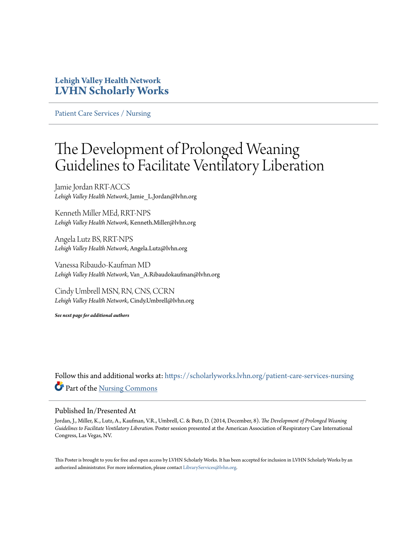## **Lehigh Valley Health Network [LVHN Scholarly Works](https://scholarlyworks.lvhn.org?utm_source=scholarlyworks.lvhn.org%2Fpatient-care-services-nursing%2F343&utm_medium=PDF&utm_campaign=PDFCoverPages)**

[Patient Care Services / Nursing](https://scholarlyworks.lvhn.org/patient-care-services-nursing?utm_source=scholarlyworks.lvhn.org%2Fpatient-care-services-nursing%2F343&utm_medium=PDF&utm_campaign=PDFCoverPages)

## The Development of Prolonged Weaning Guidelines to Facilitate Ventilatory Liberation

Jamie Jordan RRT-ACCS *Lehigh Valley Health Network*, Jamie\_L.Jordan@lvhn.org

Kenneth Miller MEd, RRT-NPS *Lehigh Valley Health Network*, Kenneth.Miller@lvhn.org

Angela Lutz BS, RRT-NPS *Lehigh Valley Health Network*, Angela.Lutz@lvhn.org

Vanessa Ribaudo-Kaufman MD *Lehigh Valley Health Network*, Van\_A.Ribaudokaufman@lvhn.org

Cindy Umbrell MSN, RN, CNS, CCRN *Lehigh Valley Health Network*, Cindy.Umbrell@lvhn.org

*See next page for additional authors*

Follow this and additional works at: [https://scholarlyworks.lvhn.org/patient-care-services-nursing](https://scholarlyworks.lvhn.org/patient-care-services-nursing?utm_source=scholarlyworks.lvhn.org%2Fpatient-care-services-nursing%2F343&utm_medium=PDF&utm_campaign=PDFCoverPages) Part of the [Nursing Commons](http://network.bepress.com/hgg/discipline/718?utm_source=scholarlyworks.lvhn.org%2Fpatient-care-services-nursing%2F343&utm_medium=PDF&utm_campaign=PDFCoverPages)

## Published In/Presented At

Jordan, J., Miller, K., Lutz, A., Kaufman, V.R., Umbrell, C. & Butz, D. (2014, December, 8). *The Development of Prolonged Weaning Guidelines to Facilitate Ventilatory Liberation.* Poster session presented at the American Association of Respiratory Care International Congress, Las Vegas, NV.

This Poster is brought to you for free and open access by LVHN Scholarly Works. It has been accepted for inclusion in LVHN Scholarly Works by an authorized administrator. For more information, please contact  $\operatorname{Library}S$ ervices $@$ lvhn.org.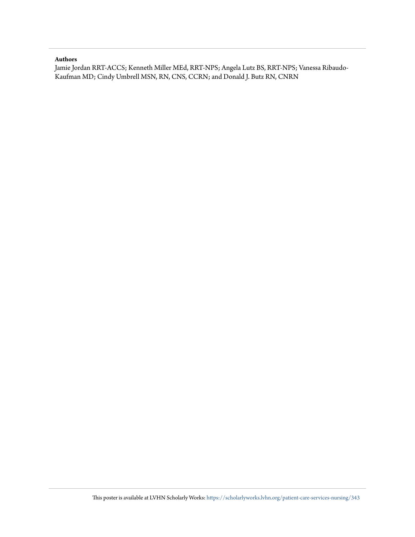## **Authors**

Jamie Jordan RRT-ACCS; Kenneth Miller MEd, RRT-NPS; Angela Lutz BS, RRT-NPS; Vanessa Ribaudo-Kaufman MD; Cindy Umbrell MSN, RN, CNS, CCRN; and Donald J. Butz RN, CNRN